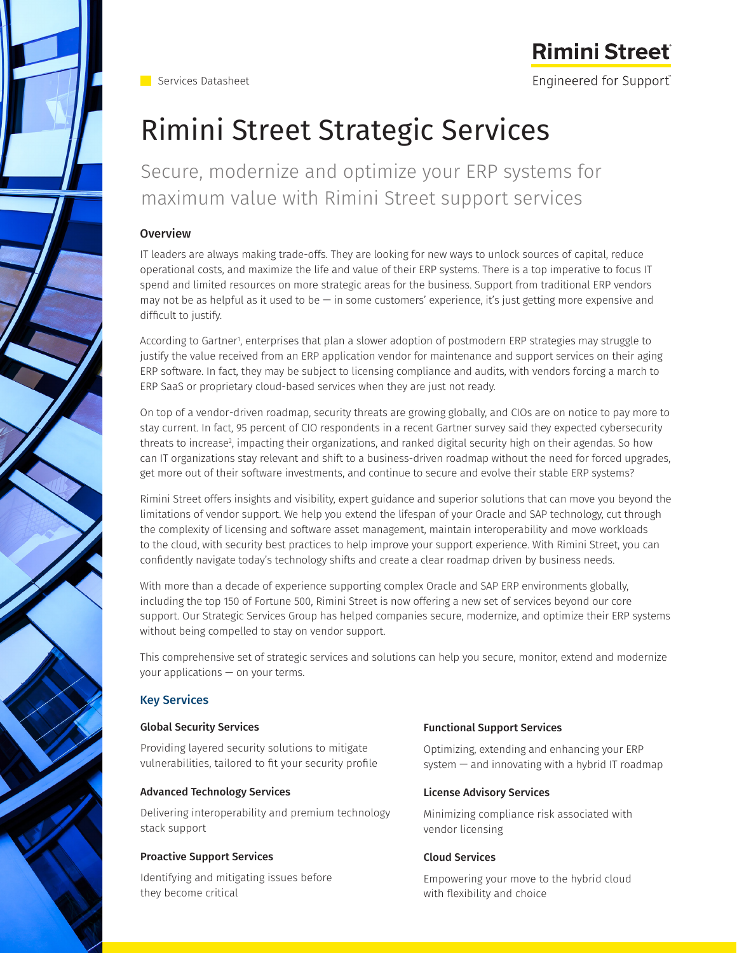

**Rimini Street** Engineered for Support®

# Rimini Street Strategic Services

Secure, modernize and optimize your ERP systems for maximum value with Rimini Street support services

# Overview

IT leaders are always making trade-offs. They are looking for new ways to unlock sources of capital, reduce operational costs, and maximize the life and value of their ERP systems. There is a top imperative to focus IT spend and limited resources on more strategic areas for the business. Support from traditional ERP vendors may not be as helpful as it used to be — in some customers' experience, it's just getting more expensive and difficult to justify.

According to Gartner', enterprises that plan a slower adoption of postmodern ERP strategies may struggle to justify the value received from an ERP application vendor for maintenance and support services on their aging ERP software. In fact, they may be subject to licensing compliance and audits, with vendors forcing a march to ERP SaaS or proprietary cloud-based services when they are just not ready.

On top of a vendor-driven roadmap, security threats are growing globally, and CIOs are on notice to pay more to stay current. In fact, 95 percent of CIO respondents in a recent Gartner survey said they expected cybersecurity threats to increase<sup>2</sup>, impacting their organizations, and ranked digital security high on their agendas. So how can IT organizations stay relevant and shift to a business-driven roadmap without the need for forced upgrades, get more out of their software investments, and continue to secure and evolve their stable ERP systems?

Rimini Street offers insights and visibility, expert guidance and superior solutions that can move you beyond the limitations of vendor support. We help you extend the lifespan of your Oracle and SAP technology, cut through the complexity of licensing and software asset management, maintain interoperability and move workloads to the cloud, with security best practices to help improve your support experience. With Rimini Street, you can confidently navigate today's technology shifts and create a clear roadmap driven by business needs.

With more than a decade of experience supporting complex Oracle and SAP ERP environments globally, including the top 150 of Fortune 500, Rimini Street is now offering a new set of services beyond our core support. Our Strategic Services Group has helped companies secure, modernize, and optimize their ERP systems without being compelled to stay on vendor support.

This comprehensive set of strategic services and solutions can help you secure, monitor, extend and modernize your applications — on your terms.

# Key Services

# Global Security Services

Providing layered security solutions to mitigate vulnerabilities, tailored to fit your security profile

# Advanced Technology Services

Delivering interoperability and premium technology stack support

# Proactive Support Services

Identifying and mitigating issues before they become critical

# Functional Support Services

Optimizing, extending and enhancing your ERP system  $-$  and innovating with a hybrid IT roadmap

#### License Advisory Services

Minimizing compliance risk associated with vendor licensing

#### Cloud Services

Empowering your move to the hybrid cloud with flexibility and choice